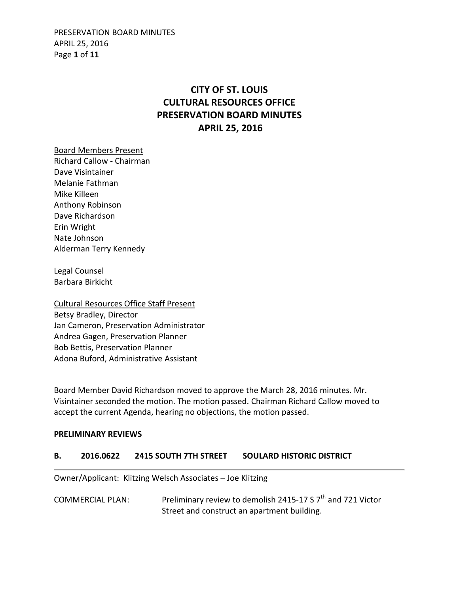PRESERVATION BOARD MINUTES APRIL 25, 2016 Page **1** of **11**

# **CITY OF ST. LOUIS CULTURAL RESOURCES OFFICE PRESERVATION BOARD MINUTES APRIL 25, 2016**

Board Members Present Richard Callow - Chairman Dave Visintainer Melanie Fathman Mike Killeen Anthony Robinson Dave Richardson Erin Wright Nate Johnson Alderman Terry Kennedy

Legal Counsel Barbara Birkicht

Cultural Resources Office Staff Present Betsy Bradley, Director Jan Cameron, Preservation Administrator Andrea Gagen, Preservation Planner Bob Bettis, Preservation Planner Adona Buford, Administrative Assistant

Board Member David Richardson moved to approve the March 28, 2016 minutes. Mr. Visintainer seconded the motion. The motion passed. Chairman Richard Callow moved to accept the current Agenda, hearing no objections, the motion passed.

#### **PRELIMINARY REVIEWS**

#### **B. 2016.0622 2415 SOUTH 7TH STREET SOULARD HISTORIC DISTRICT**

Owner/Applicant: Klitzing Welsch Associates – Joe Klitzing

COMMERCIAL PLAN: Preliminary review to demolish 2415-17 S 7<sup>th</sup> and 721 Victor Street and construct an apartment building.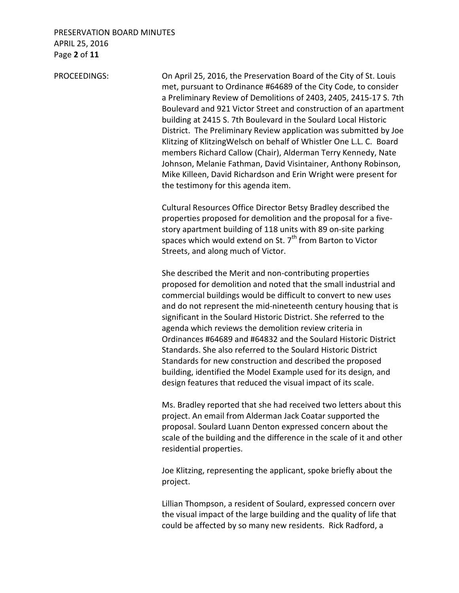### PRESERVATION BOARD MINUTES APRIL 25, 2016 Page **2** of **11**

PROCEEDINGS: On April 25, 2016, the Preservation Board of the City of St. Louis met, pursuant to Ordinance #64689 of the City Code, to consider a Preliminary Review of Demolitions of 2403, 2405, 2415-17 S. 7th Boulevard and 921 Victor Street and construction of an apartment building at 2415 S. 7th Boulevard in the Soulard Local Historic District. The Preliminary Review application was submitted by Joe Klitzing of KlitzingWelsch on behalf of Whistler One L.L. C. Board members Richard Callow (Chair), Alderman Terry Kennedy, Nate Johnson, Melanie Fathman, David Visintainer, Anthony Robinson, Mike Killeen, David Richardson and Erin Wright were present for the testimony for this agenda item.

> Cultural Resources Office Director Betsy Bradley described the properties proposed for demolition and the proposal for a five story apartment building of 118 units with 89 on-site parking spaces which would extend on St. 7<sup>th</sup> from Barton to Victor Streets, and along much of Victor.

 She described the Merit and non-contributing properties proposed for demolition and noted that the small industrial and commercial buildings would be difficult to convert to new uses and do not represent the mid-nineteenth century housing that is significant in the Soulard Historic District. She referred to the agenda which reviews the demolition review criteria in Ordinances #64689 and #64832 and the Soulard Historic District Standards. She also referred to the Soulard Historic District Standards for new construction and described the proposed building, identified the Model Example used for its design, and design features that reduced the visual impact of its scale.

 Ms. Bradley reported that she had received two letters about this project. An email from Alderman Jack Coatar supported the proposal. Soulard Luann Denton expressed concern about the scale of the building and the difference in the scale of it and other residential properties.

 Joe Klitzing, representing the applicant, spoke briefly about the project.

 Lillian Thompson, a resident of Soulard, expressed concern over the visual impact of the large building and the quality of life that could be affected by so many new residents. Rick Radford, a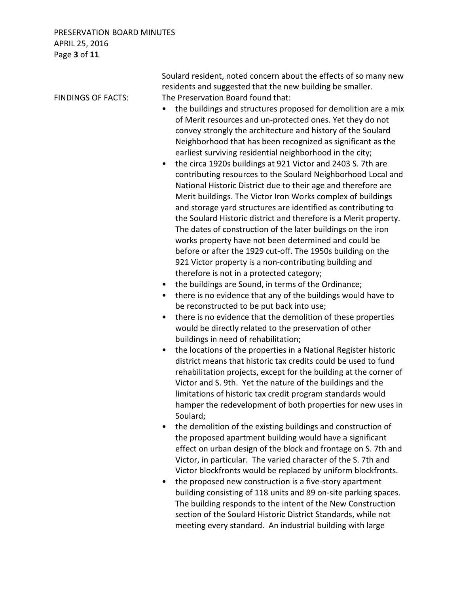### PRESERVATION BOARD MINUTES APRIL 25, 2016 Page **3** of **11**

 Soulard resident, noted concern about the effects of so many new residents and suggested that the new building be smaller. FINDINGS OF FACTS: The Preservation Board found that: • the buildings and structures proposed for demolition are a mix of Merit resources and un-protected ones. Yet they do not convey strongly the architecture and history of the Soulard Neighborhood that has been recognized as significant as the earliest surviving residential neighborhood in the city; • the circa 1920s buildings at 921 Victor and 2403 S. 7th are contributing resources to the Soulard Neighborhood Local and National Historic District due to their age and therefore are Merit buildings. The Victor Iron Works complex of buildings and storage yard structures are identified as contributing to the Soulard Historic district and therefore is a Merit property. The dates of construction of the later buildings on the iron works property have not been determined and could be before or after the 1929 cut-off. The 1950s building on the 921 Victor property is a non-contributing building and therefore is not in a protected category; the buildings are Sound, in terms of the Ordinance; • there is no evidence that any of the buildings would have to be reconstructed to be put back into use; • there is no evidence that the demolition of these properties would be directly related to the preservation of other buildings in need of rehabilitation; • the locations of the properties in a National Register historic district means that historic tax credits could be used to fund rehabilitation projects, except for the building at the corner of Victor and S. 9th. Yet the nature of the buildings and the limitations of historic tax credit program standards would hamper the redevelopment of both properties for new uses in Soulard; • the demolition of the existing buildings and construction of the proposed apartment building would have a significant effect on urban design of the block and frontage on S. 7th and Victor, in particular. The varied character of the S. 7th and Victor blockfronts would be replaced by uniform blockfronts. • the proposed new construction is a five-story apartment building consisting of 118 units and 89 on-site parking spaces. The building responds to the intent of the New Construction section of the Soulard Historic District Standards, while not meeting every standard. An industrial building with large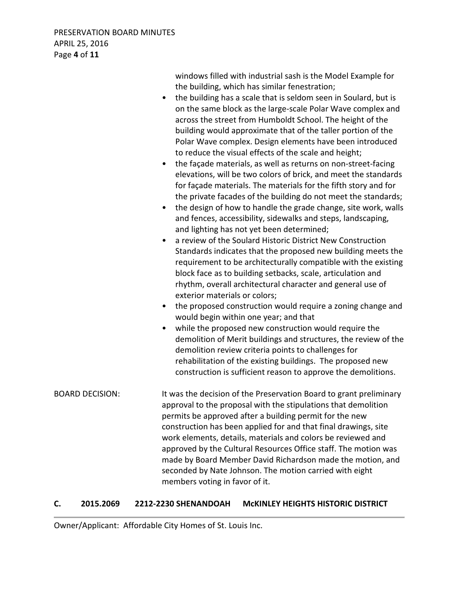PRESERVATION BOARD MINUTES APRIL 25, 2016 Page **4** of **11**

 windows filled with industrial sash is the Model Example for the building, which has similar fenestration; • the building has a scale that is seldom seen in Soulard, but is on the same block as the large-scale Polar Wave complex and across the street from Humboldt School. The height of the building would approximate that of the taller portion of the Polar Wave complex. Design elements have been introduced to reduce the visual effects of the scale and height; • the façade materials, as well as returns on non-street-facing elevations, will be two colors of brick, and meet the standards for façade materials. The materials for the fifth story and for the private facades of the building do not meet the standards; • the design of how to handle the grade change, site work, walls and fences, accessibility, sidewalks and steps, landscaping, and lighting has not yet been determined; • a review of the Soulard Historic District New Construction Standards indicates that the proposed new building meets the requirement to be architecturally compatible with the existing block face as to building setbacks, scale, articulation and rhythm, overall architectural character and general use of exterior materials or colors; • the proposed construction would require a zoning change and would begin within one year; and that • while the proposed new construction would require the demolition of Merit buildings and structures, the review of the demolition review criteria points to challenges for rehabilitation of the existing buildings. The proposed new construction is sufficient reason to approve the demolitions. BOARD DECISION: It was the decision of the Preservation Board to grant preliminary approval to the proposal with the stipulations that demolition permits be approved after a building permit for the new construction has been applied for and that final drawings, site work elements, details, materials and colors be reviewed and approved by the Cultural Resources Office staff. The motion was made by Board Member David Richardson made the motion, and seconded by Nate Johnson. The motion carried with eight members voting in favor of it.

#### **C. 2015.2069 2212-2230 SHENANDOAH McKINLEY HEIGHTS HISTORIC DISTRICT**

Owner/Applicant: Affordable City Homes of St. Louis Inc.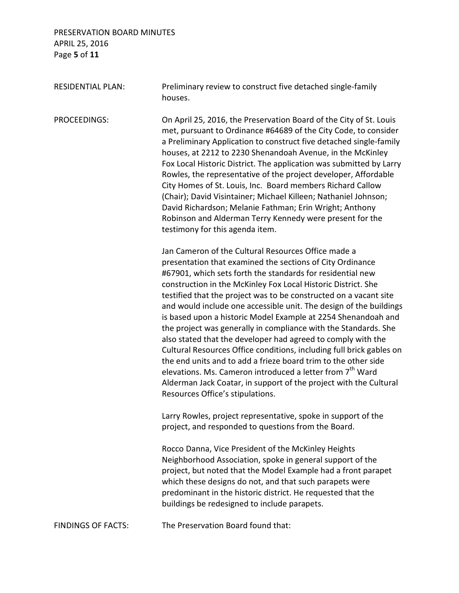# PRESERVATION BOARD MINUTES APRIL 25, 2016 Page **5** of **11**

| <b>RESIDENTIAL PLAN:</b>  | Preliminary review to construct five detached single-family<br>houses.                                                                                                                                                                                                                                                                                                                                                                                                                                                                                                                                                                                                                                                                                                                                                                                                                                                     |
|---------------------------|----------------------------------------------------------------------------------------------------------------------------------------------------------------------------------------------------------------------------------------------------------------------------------------------------------------------------------------------------------------------------------------------------------------------------------------------------------------------------------------------------------------------------------------------------------------------------------------------------------------------------------------------------------------------------------------------------------------------------------------------------------------------------------------------------------------------------------------------------------------------------------------------------------------------------|
| PROCEEDINGS:              | On April 25, 2016, the Preservation Board of the City of St. Louis<br>met, pursuant to Ordinance #64689 of the City Code, to consider<br>a Preliminary Application to construct five detached single-family<br>houses, at 2212 to 2230 Shenandoah Avenue, in the McKinley<br>Fox Local Historic District. The application was submitted by Larry<br>Rowles, the representative of the project developer, Affordable<br>City Homes of St. Louis, Inc. Board members Richard Callow<br>(Chair); David Visintainer; Michael Killeen; Nathaniel Johnson;<br>David Richardson; Melanie Fathman; Erin Wright; Anthony<br>Robinson and Alderman Terry Kennedy were present for the<br>testimony for this agenda item.                                                                                                                                                                                                             |
|                           | Jan Cameron of the Cultural Resources Office made a<br>presentation that examined the sections of City Ordinance<br>#67901, which sets forth the standards for residential new<br>construction in the McKinley Fox Local Historic District. She<br>testified that the project was to be constructed on a vacant site<br>and would include one accessible unit. The design of the buildings<br>is based upon a historic Model Example at 2254 Shenandoah and<br>the project was generally in compliance with the Standards. She<br>also stated that the developer had agreed to comply with the<br>Cultural Resources Office conditions, including full brick gables on<br>the end units and to add a frieze board trim to the other side<br>elevations. Ms. Cameron introduced a letter from 7 <sup>th</sup> Ward<br>Alderman Jack Coatar, in support of the project with the Cultural<br>Resources Office's stipulations. |
|                           | Larry Rowles, project representative, spoke in support of the<br>project, and responded to questions from the Board.                                                                                                                                                                                                                                                                                                                                                                                                                                                                                                                                                                                                                                                                                                                                                                                                       |
|                           | Rocco Danna, Vice President of the McKinley Heights<br>Neighborhood Association, spoke in general support of the<br>project, but noted that the Model Example had a front parapet<br>which these designs do not, and that such parapets were<br>predominant in the historic district. He requested that the<br>buildings be redesigned to include parapets.                                                                                                                                                                                                                                                                                                                                                                                                                                                                                                                                                                |
| <b>FINDINGS OF FACTS:</b> | The Preservation Board found that:                                                                                                                                                                                                                                                                                                                                                                                                                                                                                                                                                                                                                                                                                                                                                                                                                                                                                         |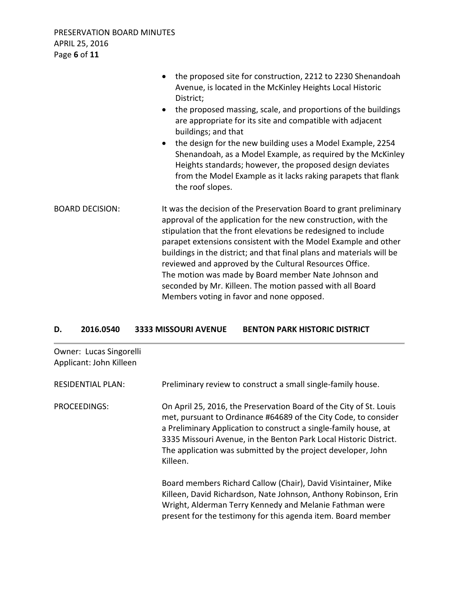|                        | the proposed site for construction, 2212 to 2230 Shenandoah<br>Avenue, is located in the McKinley Heights Local Historic<br>District;<br>the proposed massing, scale, and proportions of the buildings<br>$\bullet$<br>are appropriate for its site and compatible with adjacent<br>buildings; and that<br>the design for the new building uses a Model Example, 2254<br>$\bullet$<br>Shenandoah, as a Model Example, as required by the McKinley<br>Heights standards; however, the proposed design deviates<br>from the Model Example as it lacks raking parapets that flank<br>the roof slopes. |
|------------------------|----------------------------------------------------------------------------------------------------------------------------------------------------------------------------------------------------------------------------------------------------------------------------------------------------------------------------------------------------------------------------------------------------------------------------------------------------------------------------------------------------------------------------------------------------------------------------------------------------|
| <b>BOARD DECISION:</b> | It was the decision of the Preservation Board to grant preliminary<br>approval of the application for the new construction, with the<br>stipulation that the front elevations be redesigned to include<br>parapet extensions consistent with the Model Example and other<br>buildings in the district; and that final plans and materials will be<br>reviewed and approved by the Cultural Resources Office.<br>The motion was made by Board member Nate Johnson and<br>seconded by Mr. Killeen. The motion passed with all Board<br>Members voting in favor and none opposed.                     |

#### **D. 2016.0540 3333 MISSOURI AVENUE BENTON PARK HISTORIC DISTRICT**

| Owner: Lucas Singorelli<br>Applicant: John Killeen |                                                                                                                                                                                                                                                                                                                                                            |
|----------------------------------------------------|------------------------------------------------------------------------------------------------------------------------------------------------------------------------------------------------------------------------------------------------------------------------------------------------------------------------------------------------------------|
| <b>RESIDENTIAL PLAN:</b>                           | Preliminary review to construct a small single-family house.                                                                                                                                                                                                                                                                                               |
| PROCEEDINGS:                                       | On April 25, 2016, the Preservation Board of the City of St. Louis<br>met, pursuant to Ordinance #64689 of the City Code, to consider<br>a Preliminary Application to construct a single-family house, at<br>3335 Missouri Avenue, in the Benton Park Local Historic District.<br>The application was submitted by the project developer, John<br>Killeen. |
|                                                    | Board members Richard Callow (Chair), David Visintainer, Mike<br>Killeen, David Richardson, Nate Johnson, Anthony Robinson, Erin<br>Wright, Alderman Terry Kennedy and Melanie Fathman were<br>present for the testimony for this agenda item. Board member                                                                                                |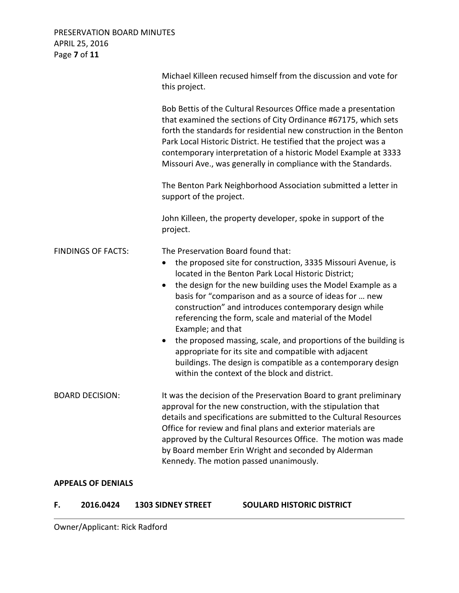### PRESERVATION BOARD MINUTES APRIL 25, 2016 Page **7** of **11**

|                           | Michael Killeen recused himself from the discussion and vote for<br>this project.                                                                                                                                                                                                                                                                                                                                                                                                                                                                                                                                                                                                                               |
|---------------------------|-----------------------------------------------------------------------------------------------------------------------------------------------------------------------------------------------------------------------------------------------------------------------------------------------------------------------------------------------------------------------------------------------------------------------------------------------------------------------------------------------------------------------------------------------------------------------------------------------------------------------------------------------------------------------------------------------------------------|
|                           | Bob Bettis of the Cultural Resources Office made a presentation<br>that examined the sections of City Ordinance #67175, which sets<br>forth the standards for residential new construction in the Benton<br>Park Local Historic District. He testified that the project was a<br>contemporary interpretation of a historic Model Example at 3333<br>Missouri Ave., was generally in compliance with the Standards.                                                                                                                                                                                                                                                                                              |
|                           | The Benton Park Neighborhood Association submitted a letter in<br>support of the project.                                                                                                                                                                                                                                                                                                                                                                                                                                                                                                                                                                                                                       |
|                           | John Killeen, the property developer, spoke in support of the<br>project.                                                                                                                                                                                                                                                                                                                                                                                                                                                                                                                                                                                                                                       |
| <b>FINDINGS OF FACTS:</b> | The Preservation Board found that:<br>the proposed site for construction, 3335 Missouri Avenue, is<br>$\bullet$<br>located in the Benton Park Local Historic District;<br>the design for the new building uses the Model Example as a<br>$\bullet$<br>basis for "comparison and as a source of ideas for  new<br>construction" and introduces contemporary design while<br>referencing the form, scale and material of the Model<br>Example; and that<br>the proposed massing, scale, and proportions of the building is<br>$\bullet$<br>appropriate for its site and compatible with adjacent<br>buildings. The design is compatible as a contemporary design<br>within the context of the block and district. |
| <b>BOARD DECISION:</b>    | It was the decision of the Preservation Board to grant preliminary<br>approval for the new construction, with the stipulation that<br>details and specifications are submitted to the Cultural Resources<br>Office for review and final plans and exterior materials are<br>approved by the Cultural Resources Office. The motion was made<br>by Board member Erin Wright and seconded by Alderman<br>Kennedy. The motion passed unanimously.                                                                                                                                                                                                                                                                   |
|                           |                                                                                                                                                                                                                                                                                                                                                                                                                                                                                                                                                                                                                                                                                                                 |

#### **APPEALS OF DENIALS**

### **F. 2016.0424 1303 SIDNEY STREET SOULARD HISTORIC DISTRICT**

Owner/Applicant: Rick Radford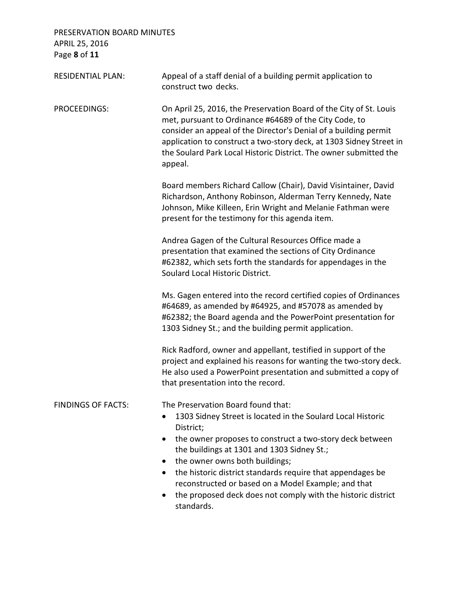# PRESERVATION BOARD MINUTES APRIL 25, 2016 Page **8** of **11**

| <b>RESIDENTIAL PLAN:</b>  | Appeal of a staff denial of a building permit application to<br>construct two decks.                                                                                                                                                                                                                                                                                                                                                                               |
|---------------------------|--------------------------------------------------------------------------------------------------------------------------------------------------------------------------------------------------------------------------------------------------------------------------------------------------------------------------------------------------------------------------------------------------------------------------------------------------------------------|
| <b>PROCEEDINGS:</b>       | On April 25, 2016, the Preservation Board of the City of St. Louis<br>met, pursuant to Ordinance #64689 of the City Code, to<br>consider an appeal of the Director's Denial of a building permit<br>application to construct a two-story deck, at 1303 Sidney Street in<br>the Soulard Park Local Historic District. The owner submitted the<br>appeal.                                                                                                            |
|                           | Board members Richard Callow (Chair), David Visintainer, David<br>Richardson, Anthony Robinson, Alderman Terry Kennedy, Nate<br>Johnson, Mike Killeen, Erin Wright and Melanie Fathman were<br>present for the testimony for this agenda item.                                                                                                                                                                                                                     |
|                           | Andrea Gagen of the Cultural Resources Office made a<br>presentation that examined the sections of City Ordinance<br>#62382, which sets forth the standards for appendages in the<br>Soulard Local Historic District.                                                                                                                                                                                                                                              |
|                           | Ms. Gagen entered into the record certified copies of Ordinances<br>#64689, as amended by #64925, and #57078 as amended by<br>#62382; the Board agenda and the PowerPoint presentation for<br>1303 Sidney St.; and the building permit application.                                                                                                                                                                                                                |
|                           | Rick Radford, owner and appellant, testified in support of the<br>project and explained his reasons for wanting the two-story deck.<br>He also used a PowerPoint presentation and submitted a copy of<br>that presentation into the record.                                                                                                                                                                                                                        |
| <b>FINDINGS OF FACTS:</b> | The Preservation Board found that:<br>1303 Sidney Street is located in the Soulard Local Historic<br>District;<br>the owner proposes to construct a two-story deck between<br>٠<br>the buildings at 1301 and 1303 Sidney St.;<br>the owner owns both buildings;<br>the historic district standards require that appendages be<br>reconstructed or based on a Model Example; and that<br>the proposed deck does not comply with the historic district<br>standards. |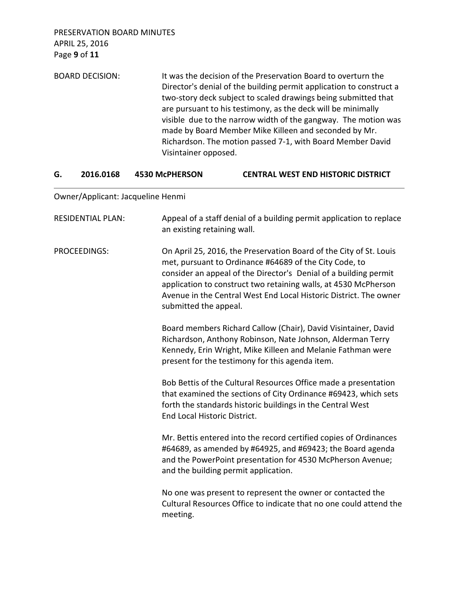PRESERVATION BOARD MINUTES APRIL 25, 2016 Page **9** of **11**

BOARD DECISION: It was the decision of the Preservation Board to overturn the Director's denial of the building permit application to construct a two-story deck subject to scaled drawings being submitted that are pursuant to his testimony, as the deck will be minimally visible due to the narrow width of the gangway. The motion was made by Board Member Mike Killeen and seconded by Mr. Richardson. The motion passed 7-1, with Board Member David Visintainer opposed.

#### **G. 2016.0168 4530 McPHERSON CENTRAL WEST END HISTORIC DISTRICT**

Owner/Applicant: Jacqueline Henmi

| <b>RESIDENTIAL PLAN:</b> | Appeal of a staff denial of a building permit application to replace<br>an existing retaining wall.                                                                                                                                                                                                                                                               |
|--------------------------|-------------------------------------------------------------------------------------------------------------------------------------------------------------------------------------------------------------------------------------------------------------------------------------------------------------------------------------------------------------------|
| PROCEEDINGS:             | On April 25, 2016, the Preservation Board of the City of St. Louis<br>met, pursuant to Ordinance #64689 of the City Code, to<br>consider an appeal of the Director's Denial of a building permit<br>application to construct two retaining walls, at 4530 McPherson<br>Avenue in the Central West End Local Historic District. The owner<br>submitted the appeal. |
|                          | Board members Richard Callow (Chair), David Visintainer, David<br>Richardson, Anthony Robinson, Nate Johnson, Alderman Terry<br>Kennedy, Erin Wright, Mike Killeen and Melanie Fathman were<br>present for the testimony for this agenda item.                                                                                                                    |
|                          | Bob Bettis of the Cultural Resources Office made a presentation<br>that examined the sections of City Ordinance #69423, which sets<br>forth the standards historic buildings in the Central West<br>End Local Historic District.                                                                                                                                  |
|                          | Mr. Bettis entered into the record certified copies of Ordinances<br>#64689, as amended by #64925, and #69423; the Board agenda<br>and the PowerPoint presentation for 4530 McPherson Avenue;<br>and the building permit application.                                                                                                                             |
|                          | No one was present to represent the owner or contacted the<br>Cultural Resources Office to indicate that no one could attend the<br>meeting.                                                                                                                                                                                                                      |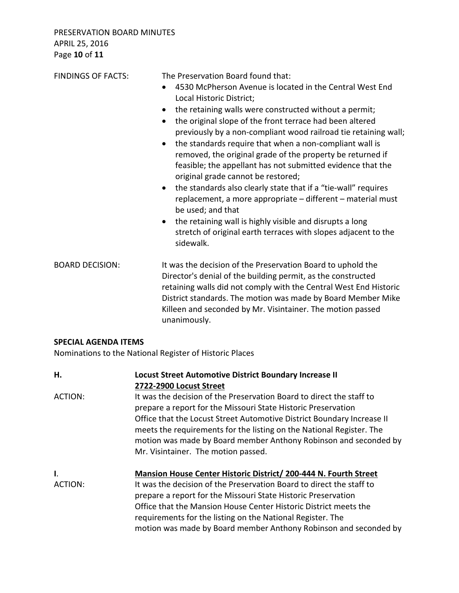| <b>FINDINGS OF FACTS:</b> | The Preservation Board found that:<br>4530 McPherson Avenue is located in the Central West End<br>$\bullet$<br>Local Historic District;<br>the retaining walls were constructed without a permit;<br>$\bullet$<br>the original slope of the front terrace had been altered<br>$\bullet$<br>previously by a non-compliant wood railroad tie retaining wall;<br>the standards require that when a non-compliant wall is<br>$\bullet$<br>removed, the original grade of the property be returned if<br>feasible; the appellant has not submitted evidence that the<br>original grade cannot be restored;<br>the standards also clearly state that if a "tie-wall" requires<br>$\bullet$<br>replacement, a more appropriate – different – material must<br>be used; and that<br>the retaining wall is highly visible and disrupts a long<br>$\bullet$<br>stretch of original earth terraces with slopes adjacent to the<br>sidewalk. |
|---------------------------|----------------------------------------------------------------------------------------------------------------------------------------------------------------------------------------------------------------------------------------------------------------------------------------------------------------------------------------------------------------------------------------------------------------------------------------------------------------------------------------------------------------------------------------------------------------------------------------------------------------------------------------------------------------------------------------------------------------------------------------------------------------------------------------------------------------------------------------------------------------------------------------------------------------------------------|
| <b>BOARD DECISION:</b>    | It was the decision of the Preservation Board to uphold the<br>Director's denial of the building permit, as the constructed<br>retaining walls did not comply with the Central West End Historic<br>District standards. The motion was made by Board Member Mike<br>Killeen and seconded by Mr. Visintainer. The motion passed<br>unanimously.                                                                                                                                                                                                                                                                                                                                                                                                                                                                                                                                                                                   |

# **SPECIAL AGENDA ITEMS**

Nominations to the National Register of Historic Places

| Η.            | Locust Street Automotive District Boundary Increase II<br>2722-2900 Locust Street                                                                                                                                                                                                                                                                                                                              |
|---------------|----------------------------------------------------------------------------------------------------------------------------------------------------------------------------------------------------------------------------------------------------------------------------------------------------------------------------------------------------------------------------------------------------------------|
| ACTION:       | It was the decision of the Preservation Board to direct the staff to<br>prepare a report for the Missouri State Historic Preservation<br>Office that the Locust Street Automotive District Boundary Increase II<br>meets the requirements for the listing on the National Register. The<br>motion was made by Board member Anthony Robinson and seconded by<br>Mr. Visintainer. The motion passed.             |
| Ι.<br>ACTION: | Mansion House Center Historic District/200-444 N. Fourth Street<br>It was the decision of the Preservation Board to direct the staff to<br>prepare a report for the Missouri State Historic Preservation<br>Office that the Mansion House Center Historic District meets the<br>requirements for the listing on the National Register. The<br>motion was made by Board member Anthony Robinson and seconded by |